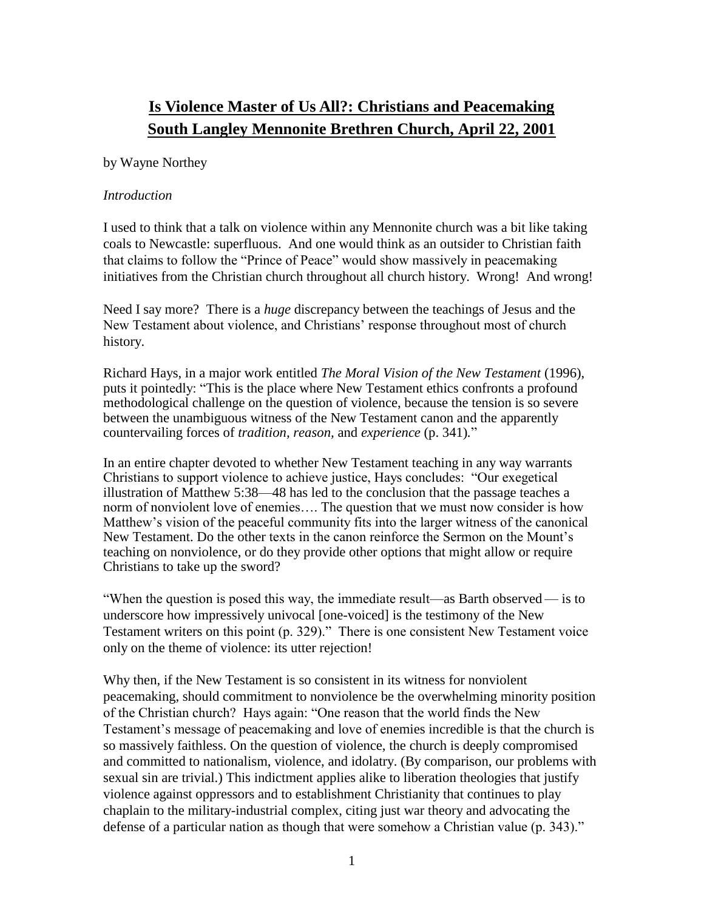# **Is Violence Master of Us All?: Christians and Peacemaking South Langley Mennonite Brethren Church, April 22, 2001**

#### by Wayne Northey

#### *Introduction*

I used to think that a talk on violence within any Mennonite church was a bit like taking coals to Newcastle: superfluous. And one would think as an outsider to Christian faith that claims to follow the "Prince of Peace" would show massively in peacemaking initiatives from the Christian church throughout all church history. Wrong! And wrong!

Need I say more? There is a *huge* discrepancy between the teachings of Jesus and the New Testament about violence, and Christians' response throughout most of church history.

Richard Hays, in a major work entitled *The Moral Vision of the New Testament* (1996), puts it pointedly: "This is the place where New Testament ethics confronts a profound methodological challenge on the question of violence, because the tension is so severe between the unambiguous witness of the New Testament canon and the apparently countervailing forces of *tradition, reason,* and *experience* (p. 341)*.*"

In an entire chapter devoted to whether New Testament teaching in any way warrants Christians to support violence to achieve justice, Hays concludes: "Our exegetical illustration of Matthew 5:38—48 has led to the conclusion that the passage teaches a norm of nonviolent love of enemies…. The question that we must now consider is how Matthew's vision of the peaceful community fits into the larger witness of the canonical New Testament. Do the other texts in the canon reinforce the Sermon on the Mount's teaching on nonviolence, or do they provide other options that might allow or require Christians to take up the sword?

"When the question is posed this way, the immediate result—as Barth observed — is to underscore how impressively univocal [one-voiced] is the testimony of the New Testament writers on this point (p. 329)." There is one consistent New Testament voice only on the theme of violence: its utter rejection!

Why then, if the New Testament is so consistent in its witness for nonviolent peacemaking, should commitment to nonviolence be the overwhelming minority position of the Christian church? Hays again: "One reason that the world finds the New Testament's message of peacemaking and love of enemies incredible is that the church is so massively faithless. On the question of violence, the church is deeply compromised and committed to nationalism, violence, and idolatry. (By comparison, our problems with sexual sin are trivial.) This indictment applies alike to liberation theologies that justify violence against oppressors and to establishment Christianity that continues to play chaplain to the military-industrial complex, citing just war theory and advocating the defense of a particular nation as though that were somehow a Christian value (p. 343)."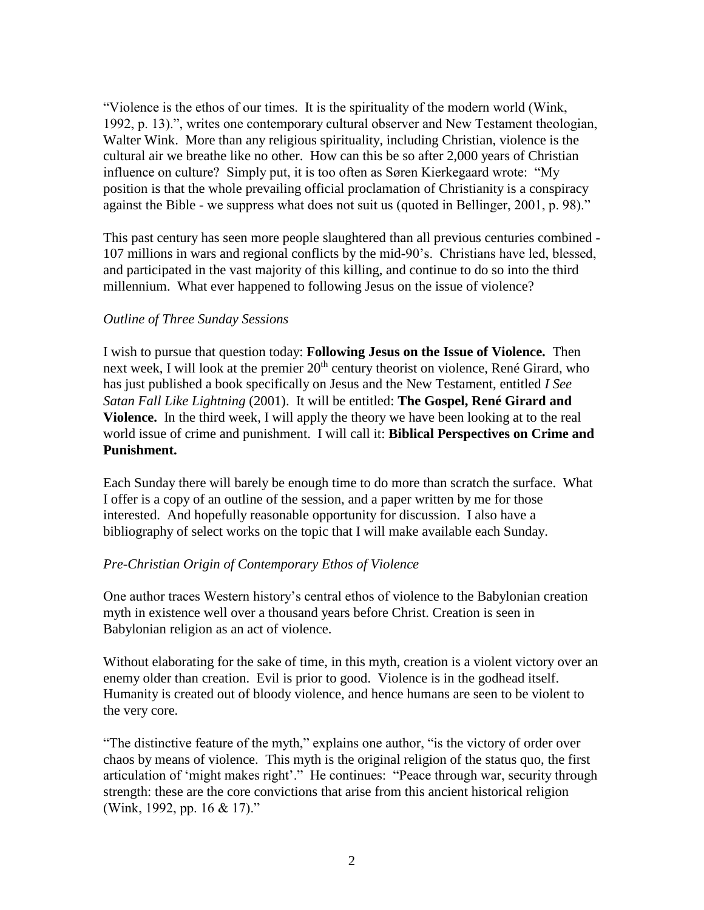"Violence is the ethos of our times. It is the spirituality of the modern world (Wink, 1992, p. 13).", writes one contemporary cultural observer and New Testament theologian, Walter Wink. More than any religious spirituality, including Christian, violence is the cultural air we breathe like no other. How can this be so after 2,000 years of Christian influence on culture? Simply put, it is too often as Søren Kierkegaard wrote: "My position is that the whole prevailing official proclamation of Christianity is a conspiracy against the Bible - we suppress what does not suit us (quoted in Bellinger, 2001, p. 98)."

This past century has seen more people slaughtered than all previous centuries combined - 107 millions in wars and regional conflicts by the mid-90's. Christians have led, blessed, and participated in the vast majority of this killing, and continue to do so into the third millennium. What ever happened to following Jesus on the issue of violence?

## *Outline of Three Sunday Sessions*

I wish to pursue that question today: **Following Jesus on the Issue of Violence.** Then next week, I will look at the premier 20<sup>th</sup> century theorist on violence, René Girard, who has just published a book specifically on Jesus and the New Testament, entitled *I See Satan Fall Like Lightning* (2001). It will be entitled: **The Gospel, René Girard and Violence.** In the third week, I will apply the theory we have been looking at to the real world issue of crime and punishment. I will call it: **Biblical Perspectives on Crime and Punishment.**

Each Sunday there will barely be enough time to do more than scratch the surface. What I offer is a copy of an outline of the session, and a paper written by me for those interested. And hopefully reasonable opportunity for discussion. I also have a bibliography of select works on the topic that I will make available each Sunday.

## *Pre-Christian Origin of Contemporary Ethos of Violence*

One author traces Western history's central ethos of violence to the Babylonian creation myth in existence well over a thousand years before Christ. Creation is seen in Babylonian religion as an act of violence.

Without elaborating for the sake of time, in this myth, creation is a violent victory over an enemy older than creation. Evil is prior to good. Violence is in the godhead itself. Humanity is created out of bloody violence, and hence humans are seen to be violent to the very core.

"The distinctive feature of the myth," explains one author, "is the victory of order over chaos by means of violence. This myth is the original religion of the status quo, the first articulation of 'might makes right'." He continues: "Peace through war, security through strength: these are the core convictions that arise from this ancient historical religion (Wink, 1992, pp. 16 & 17)."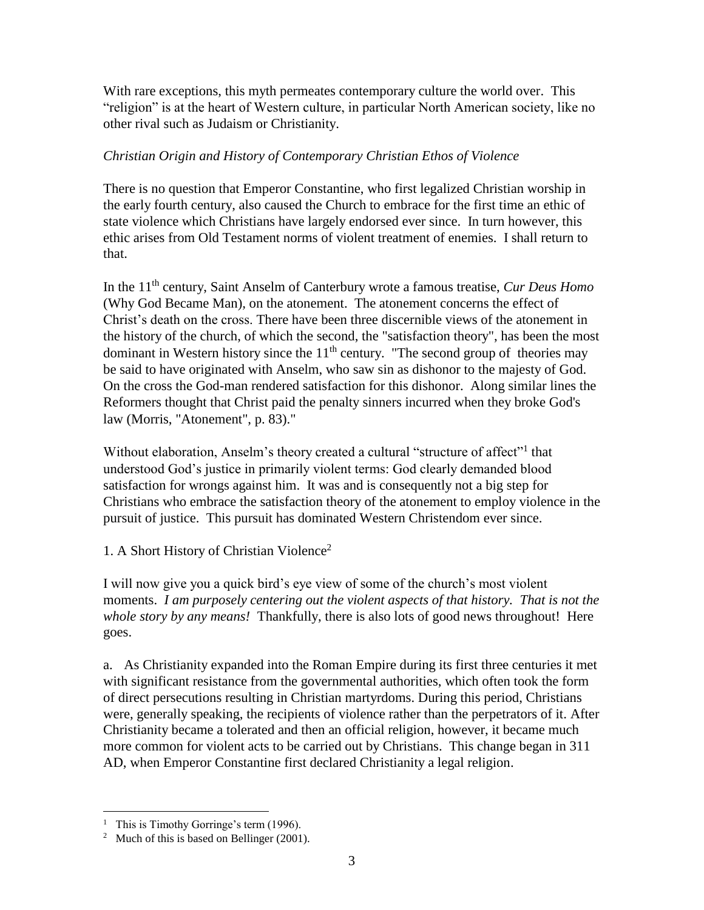With rare exceptions, this myth permeates contemporary culture the world over. This "religion" is at the heart of Western culture, in particular North American society, like no other rival such as Judaism or Christianity.

## *Christian Origin and History of Contemporary Christian Ethos of Violence*

There is no question that Emperor Constantine, who first legalized Christian worship in the early fourth century, also caused the Church to embrace for the first time an ethic of state violence which Christians have largely endorsed ever since. In turn however, this ethic arises from Old Testament norms of violent treatment of enemies. I shall return to that.

In the 11th century, Saint Anselm of Canterbury wrote a famous treatise, *Cur Deus Homo* (Why God Became Man)*,* on the atonement. The atonement concerns the effect of Christ's death on the cross. There have been three discernible views of the atonement in the history of the church, of which the second, the "satisfaction theory", has been the most dominant in Western history since the  $11<sup>th</sup>$  century. "The second group of theories may be said to have originated with Anselm, who saw sin as dishonor to the majesty of God. On the cross the God-man rendered satisfaction for this dishonor. Along similar lines the Reformers thought that Christ paid the penalty sinners incurred when they broke God's law (Morris, "Atonement", p. 83)."

Without elaboration, Anselm's theory created a cultural "structure of affect"<sup>1</sup> that understood God's justice in primarily violent terms: God clearly demanded blood satisfaction for wrongs against him. It was and is consequently not a big step for Christians who embrace the satisfaction theory of the atonement to employ violence in the pursuit of justice. This pursuit has dominated Western Christendom ever since.

1. A Short History of Christian Violence<sup>2</sup>

I will now give you a quick bird's eye view of some of the church's most violent moments. *I am purposely centering out the violent aspects of that history. That is not the whole story by any means!* Thankfully, there is also lots of good news throughout! Here goes.

a. As Christianity expanded into the Roman Empire during its first three centuries it met with significant resistance from the governmental authorities, which often took the form of direct persecutions resulting in Christian martyrdoms. During this period, Christians were, generally speaking, the recipients of violence rather than the perpetrators of it. After Christianity became a tolerated and then an official religion, however, it became much more common for violent acts to be carried out by Christians. This change began in 311 AD, when Emperor Constantine first declared Christianity a legal religion.

 $\overline{a}$ 

<sup>&</sup>lt;sup>1</sup> This is Timothy Gorringe's term (1996).

<sup>&</sup>lt;sup>2</sup> Much of this is based on Bellinger  $(2001)$ .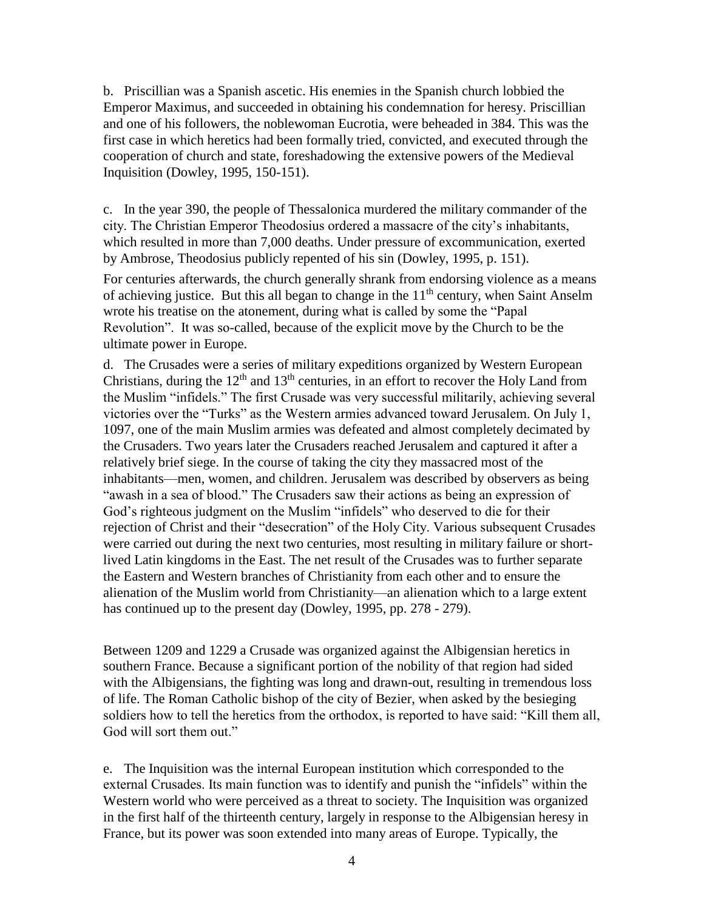b. Priscillian was a Spanish ascetic. His enemies in the Spanish church lobbied the Emperor Maximus, and succeeded in obtaining his condemnation for heresy. Priscillian and one of his followers, the noblewoman Eucrotia, were beheaded in 384. This was the first case in which heretics had been formally tried, convicted, and executed through the cooperation of church and state, foreshadowing the extensive powers of the Medieval Inquisition (Dowley, 1995, 150-151).

c. In the year 390, the people of Thessalonica murdered the military commander of the city. The Christian Emperor Theodosius ordered a massacre of the city's inhabitants, which resulted in more than 7,000 deaths. Under pressure of excommunication, exerted by Ambrose, Theodosius publicly repented of his sin (Dowley, 1995, p. 151).

For centuries afterwards, the church generally shrank from endorsing violence as a means of achieving justice. But this all began to change in the  $11<sup>th</sup>$  century, when Saint Anselm wrote his treatise on the atonement, during what is called by some the "Papal Revolution". It was so-called, because of the explicit move by the Church to be the ultimate power in Europe.

d. The Crusades were a series of military expeditions organized by Western European Christians, during the  $12<sup>th</sup>$  and  $13<sup>th</sup>$  centuries, in an effort to recover the Holy Land from the Muslim "infidels." The first Crusade was very successful militarily, achieving several victories over the "Turks" as the Western armies advanced toward Jerusalem. On July 1, 1097, one of the main Muslim armies was defeated and almost completely decimated by the Crusaders. Two years later the Crusaders reached Jerusalem and captured it after a relatively brief siege. In the course of taking the city they massacred most of the inhabitants—men, women, and children. Jerusalem was described by observers as being "awash in a sea of blood." The Crusaders saw their actions as being an expression of God's righteous judgment on the Muslim "infidels" who deserved to die for their rejection of Christ and their "desecration" of the Holy City. Various subsequent Crusades were carried out during the next two centuries, most resulting in military failure or shortlived Latin kingdoms in the East. The net result of the Crusades was to further separate the Eastern and Western branches of Christianity from each other and to ensure the alienation of the Muslim world from Christianity—an alienation which to a large extent has continued up to the present day (Dowley, 1995, pp. 278 - 279).

Between 1209 and 1229 a Crusade was organized against the Albigensian heretics in southern France. Because a significant portion of the nobility of that region had sided with the Albigensians, the fighting was long and drawn-out, resulting in tremendous loss of life. The Roman Catholic bishop of the city of Bezier, when asked by the besieging soldiers how to tell the heretics from the orthodox, is reported to have said: "Kill them all, God will sort them out."

e. The Inquisition was the internal European institution which corresponded to the external Crusades. Its main function was to identify and punish the "infidels" within the Western world who were perceived as a threat to society. The Inquisition was organized in the first half of the thirteenth century, largely in response to the Albigensian heresy in France, but its power was soon extended into many areas of Europe. Typically, the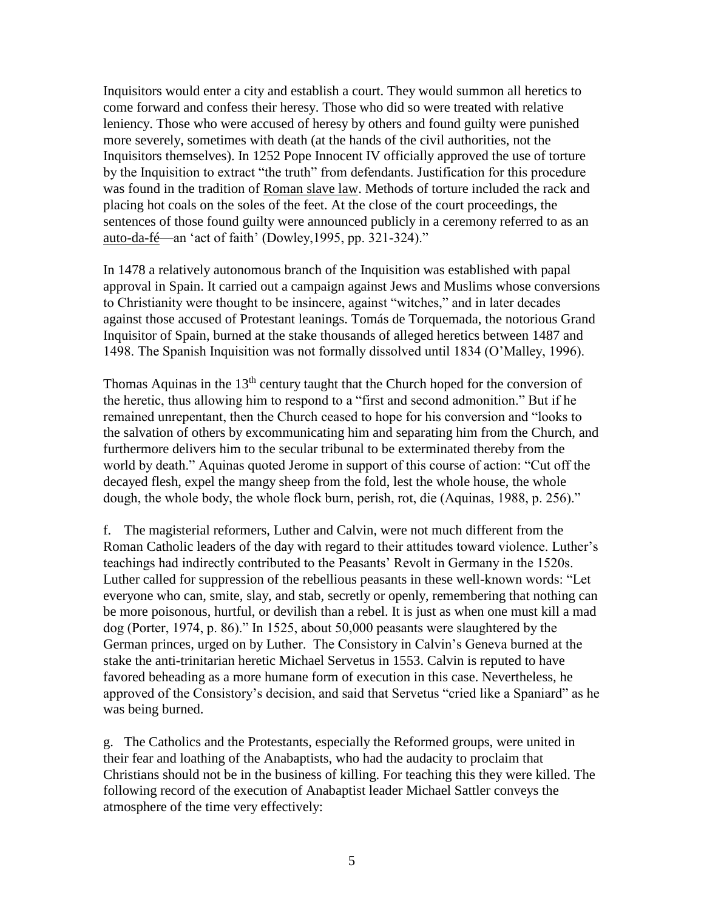Inquisitors would enter a city and establish a court. They would summon all heretics to come forward and confess their heresy. Those who did so were treated with relative leniency. Those who were accused of heresy by others and found guilty were punished more severely, sometimes with death (at the hands of the civil authorities, not the Inquisitors themselves). In 1252 Pope Innocent IV officially approved the use of torture by the Inquisition to extract "the truth" from defendants. Justification for this procedure was found in the tradition of Roman slave law. Methods of torture included the rack and placing hot coals on the soles of the feet. At the close of the court proceedings, the sentences of those found guilty were announced publicly in a ceremony referred to as an auto-da-fé—an 'act of faith' (Dowley,1995, pp. 321-324)."

In 1478 a relatively autonomous branch of the Inquisition was established with papal approval in Spain. It carried out a campaign against Jews and Muslims whose conversions to Christianity were thought to be insincere, against "witches," and in later decades against those accused of Protestant leanings. Tomás de Torquemada, the notorious Grand Inquisitor of Spain, burned at the stake thousands of alleged heretics between 1487 and 1498. The Spanish Inquisition was not formally dissolved until 1834 (O'Malley, 1996).

Thomas Aquinas in the 13<sup>th</sup> century taught that the Church hoped for the conversion of the heretic, thus allowing him to respond to a "first and second admonition." But if he remained unrepentant, then the Church ceased to hope for his conversion and "looks to the salvation of others by excommunicating him and separating him from the Church, and furthermore delivers him to the secular tribunal to be exterminated thereby from the world by death." Aquinas quoted Jerome in support of this course of action: "Cut off the decayed flesh, expel the mangy sheep from the fold, lest the whole house, the whole dough, the whole body, the whole flock burn, perish, rot, die (Aquinas, 1988, p. 256)."

f. The magisterial reformers, Luther and Calvin, were not much different from the Roman Catholic leaders of the day with regard to their attitudes toward violence. Luther's teachings had indirectly contributed to the Peasants' Revolt in Germany in the 1520s. Luther called for suppression of the rebellious peasants in these well-known words: "Let everyone who can, smite, slay, and stab, secretly or openly, remembering that nothing can be more poisonous, hurtful, or devilish than a rebel. It is just as when one must kill a mad dog (Porter, 1974, p. 86)." In 1525, about 50,000 peasants were slaughtered by the German princes, urged on by Luther. The Consistory in Calvin's Geneva burned at the stake the anti-trinitarian heretic Michael Servetus in 1553. Calvin is reputed to have favored beheading as a more humane form of execution in this case. Nevertheless, he approved of the Consistory's decision, and said that Servetus "cried like a Spaniard" as he was being burned.

g. The Catholics and the Protestants, especially the Reformed groups, were united in their fear and loathing of the Anabaptists, who had the audacity to proclaim that Christians should not be in the business of killing. For teaching this they were killed. The following record of the execution of Anabaptist leader Michael Sattler conveys the atmosphere of the time very effectively: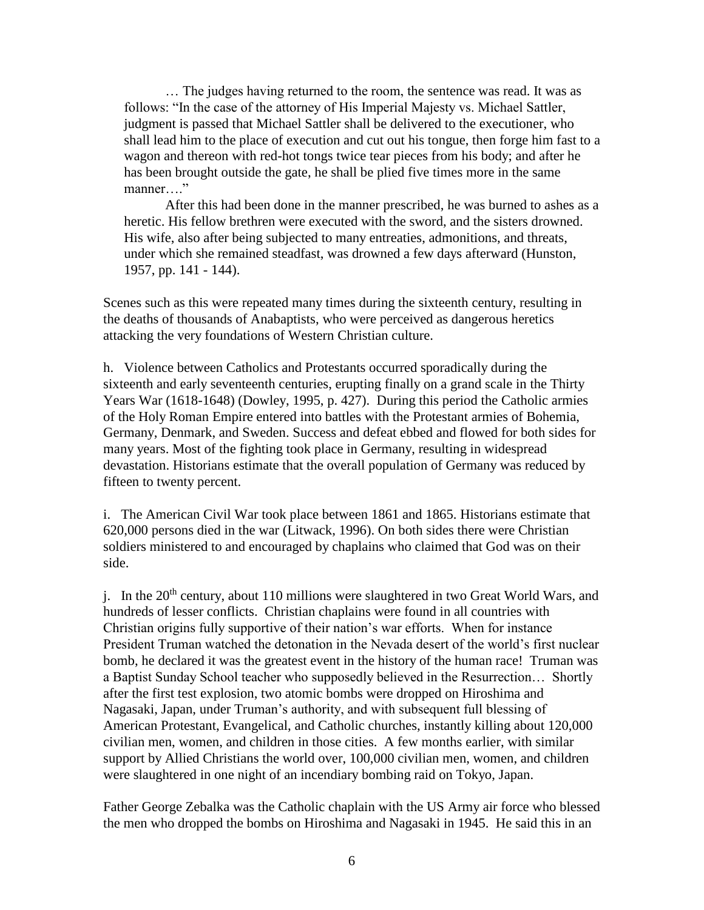… The judges having returned to the room, the sentence was read. It was as follows: "In the case of the attorney of His Imperial Majesty vs. Michael Sattler, judgment is passed that Michael Sattler shall be delivered to the executioner, who shall lead him to the place of execution and cut out his tongue, then forge him fast to a wagon and thereon with red-hot tongs twice tear pieces from his body; and after he has been brought outside the gate, he shall be plied five times more in the same manner…."

After this had been done in the manner prescribed, he was burned to ashes as a heretic. His fellow brethren were executed with the sword, and the sisters drowned. His wife, also after being subjected to many entreaties, admonitions, and threats, under which she remained steadfast, was drowned a few days afterward (Hunston, 1957, pp. 141 - 144).

Scenes such as this were repeated many times during the sixteenth century, resulting in the deaths of thousands of Anabaptists, who were perceived as dangerous heretics attacking the very foundations of Western Christian culture.

h. Violence between Catholics and Protestants occurred sporadically during the sixteenth and early seventeenth centuries, erupting finally on a grand scale in the Thirty Years War (1618-1648) (Dowley, 1995, p. 427). During this period the Catholic armies of the Holy Roman Empire entered into battles with the Protestant armies of Bohemia, Germany, Denmark, and Sweden. Success and defeat ebbed and flowed for both sides for many years. Most of the fighting took place in Germany, resulting in widespread devastation. Historians estimate that the overall population of Germany was reduced by fifteen to twenty percent.

i. The American Civil War took place between 1861 and 1865. Historians estimate that 620,000 persons died in the war (Litwack, 1996). On both sides there were Christian soldiers ministered to and encouraged by chaplains who claimed that God was on their side.

j. In the  $20<sup>th</sup>$  century, about 110 millions were slaughtered in two Great World Wars, and hundreds of lesser conflicts. Christian chaplains were found in all countries with Christian origins fully supportive of their nation's war efforts. When for instance President Truman watched the detonation in the Nevada desert of the world's first nuclear bomb, he declared it was the greatest event in the history of the human race! Truman was a Baptist Sunday School teacher who supposedly believed in the Resurrection… Shortly after the first test explosion, two atomic bombs were dropped on Hiroshima and Nagasaki, Japan, under Truman's authority, and with subsequent full blessing of American Protestant, Evangelical, and Catholic churches, instantly killing about 120,000 civilian men, women, and children in those cities. A few months earlier, with similar support by Allied Christians the world over, 100,000 civilian men, women, and children were slaughtered in one night of an incendiary bombing raid on Tokyo, Japan.

Father George Zebalka was the Catholic chaplain with the US Army air force who blessed the men who dropped the bombs on Hiroshima and Nagasaki in 1945. He said this in an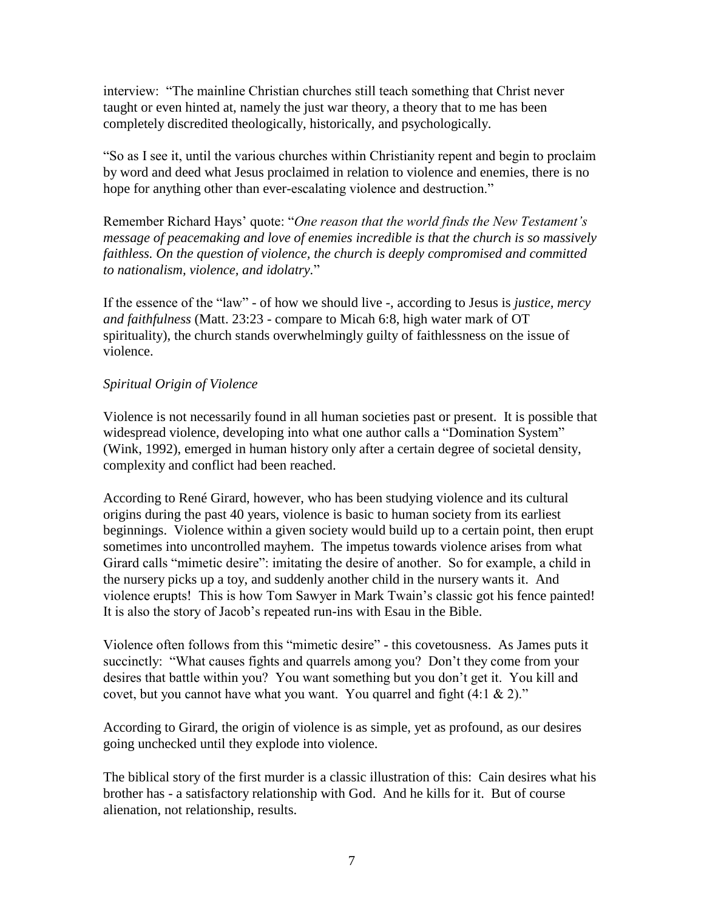interview: "The mainline Christian churches still teach something that Christ never taught or even hinted at, namely the just war theory, a theory that to me has been completely discredited theologically, historically, and psychologically.

"So as I see it, until the various churches within Christianity repent and begin to proclaim by word and deed what Jesus proclaimed in relation to violence and enemies, there is no hope for anything other than ever-escalating violence and destruction."

Remember Richard Hays' quote: "*One reason that the world finds the New Testament's message of peacemaking and love of enemies incredible is that the church is so massively faithless. On the question of violence, the church is deeply compromised and committed to nationalism, violence, and idolatry.*"

If the essence of the "law" - of how we should live -, according to Jesus is *justice, mercy and faithfulness* (Matt. 23:23 - compare to Micah 6:8, high water mark of OT spirituality), the church stands overwhelmingly guilty of faithlessness on the issue of violence.

## *Spiritual Origin of Violence*

Violence is not necessarily found in all human societies past or present. It is possible that widespread violence, developing into what one author calls a "Domination System" (Wink, 1992), emerged in human history only after a certain degree of societal density, complexity and conflict had been reached.

According to René Girard, however, who has been studying violence and its cultural origins during the past 40 years, violence is basic to human society from its earliest beginnings. Violence within a given society would build up to a certain point, then erupt sometimes into uncontrolled mayhem. The impetus towards violence arises from what Girard calls "mimetic desire": imitating the desire of another. So for example, a child in the nursery picks up a toy, and suddenly another child in the nursery wants it. And violence erupts! This is how Tom Sawyer in Mark Twain's classic got his fence painted! It is also the story of Jacob's repeated run-ins with Esau in the Bible.

Violence often follows from this "mimetic desire" - this covetousness. As James puts it succinctly: "What causes fights and quarrels among you? Don't they come from your desires that battle within you? You want something but you don't get it. You kill and covet, but you cannot have what you want. You quarrel and fight  $(4:1 \& 2)$ ."

According to Girard, the origin of violence is as simple, yet as profound, as our desires going unchecked until they explode into violence.

The biblical story of the first murder is a classic illustration of this: Cain desires what his brother has - a satisfactory relationship with God. And he kills for it. But of course alienation, not relationship, results.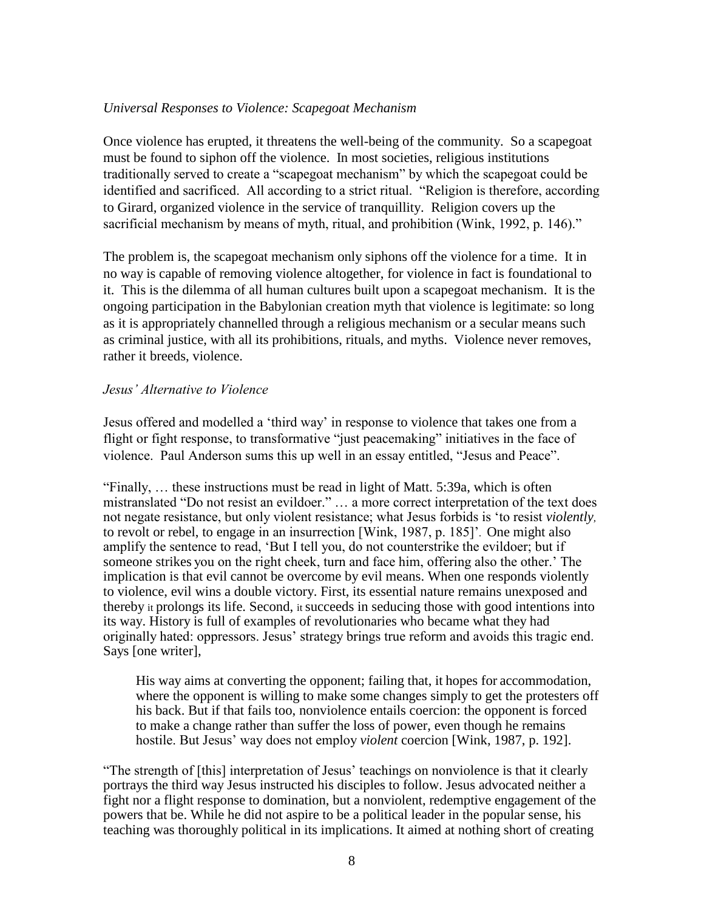### *Universal Responses to Violence: Scapegoat Mechanism*

Once violence has erupted, it threatens the well-being of the community. So a scapegoat must be found to siphon off the violence. In most societies, religious institutions traditionally served to create a "scapegoat mechanism" by which the scapegoat could be identified and sacrificed. All according to a strict ritual. "Religion is therefore, according to Girard, organized violence in the service of tranquillity. Religion covers up the sacrificial mechanism by means of myth, ritual, and prohibition (Wink, 1992, p. 146)."

The problem is, the scapegoat mechanism only siphons off the violence for a time. It in no way is capable of removing violence altogether, for violence in fact is foundational to it. This is the dilemma of all human cultures built upon a scapegoat mechanism. It is the ongoing participation in the Babylonian creation myth that violence is legitimate: so long as it is appropriately channelled through a religious mechanism or a secular means such as criminal justice, with all its prohibitions, rituals, and myths. Violence never removes, rather it breeds, violence.

#### *Jesus' Alternative to Violence*

Jesus offered and modelled a 'third way' in response to violence that takes one from a flight or fight response, to transformative "just peacemaking" initiatives in the face of violence. Paul Anderson sums this up well in an essay entitled, "Jesus and Peace".

"Finally, … these instructions must be read in light of Matt. 5:39a, which is often mistranslated "Do not resist an evildoer." … a more correct interpretation of the text does not negate resistance, but only violent resistance; what Jesus forbids is 'to resist *violently,*  to revolt or rebel, to engage in an insurrection [Wink, 1987, p. 185]'*.* One might also amplify the sentence to read, 'But I tell you, do not counterstrike the evildoer; but if someone strikes you on the right cheek, turn and face him, offering also the other.' The implication is that evil cannot be overcome by evil means. When one responds violently to violence, evil wins a double victory. First, its essential nature remains unexposed and thereby it prolongs its life. Second, it succeeds in seducing those with good intentions into its way. History is full of examples of revolutionaries who became what they had originally hated: oppressors. Jesus' strategy brings true reform and avoids this tragic end. Says [one writer],

His way aims at converting the opponent; failing that, it hopes for accommodation, where the opponent is willing to make some changes simply to get the protesters off his back. But if that fails too, nonviolence entails coercion: the opponent is forced to make a change rather than suffer the loss of power, even though he remains hostile. But Jesus' way does not employ *violent* coercion [Wink, 1987, p. 192].

"The strength of [this] interpretation of Jesus' teachings on nonviolence is that it clearly portrays the third way Jesus instructed his disciples to follow. Jesus advocated neither a fight nor a flight response to domination, but a nonviolent, redemptive engagement of the powers that be. While he did not aspire to be a political leader in the popular sense, his teaching was thoroughly political in its implications. It aimed at nothing short of creating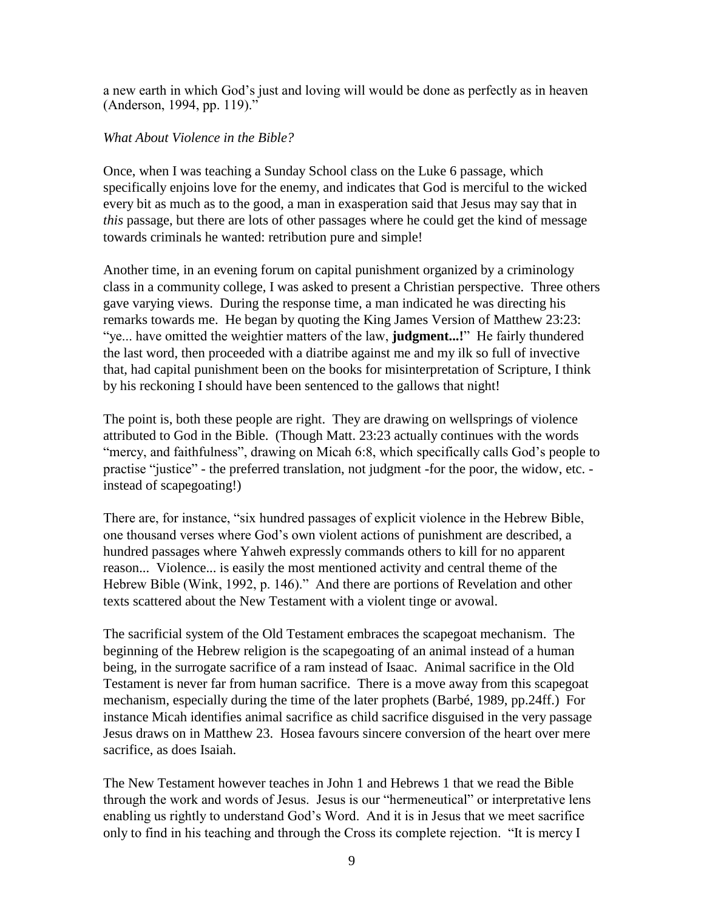a new earth in which God's just and loving will would be done as perfectly as in heaven (Anderson, 1994, pp. 119)."

## *What About Violence in the Bible?*

Once, when I was teaching a Sunday School class on the Luke 6 passage, which specifically enjoins love for the enemy, and indicates that God is merciful to the wicked every bit as much as to the good, a man in exasperation said that Jesus may say that in *this* passage, but there are lots of other passages where he could get the kind of message towards criminals he wanted: retribution pure and simple!

Another time, in an evening forum on capital punishment organized by a criminology class in a community college, I was asked to present a Christian perspective. Three others gave varying views. During the response time, a man indicated he was directing his remarks towards me. He began by quoting the King James Version of Matthew 23:23: "ye... have omitted the weightier matters of the law, **judgment...!**" He fairly thundered the last word, then proceeded with a diatribe against me and my ilk so full of invective that, had capital punishment been on the books for misinterpretation of Scripture, I think by his reckoning I should have been sentenced to the gallows that night!

The point is, both these people are right. They are drawing on wellsprings of violence attributed to God in the Bible. (Though Matt. 23:23 actually continues with the words "mercy, and faithfulness", drawing on Micah 6:8, which specifically calls God's people to practise "justice" - the preferred translation, not judgment -for the poor, the widow, etc. instead of scapegoating!)

There are, for instance, "six hundred passages of explicit violence in the Hebrew Bible, one thousand verses where God's own violent actions of punishment are described, a hundred passages where Yahweh expressly commands others to kill for no apparent reason... Violence... is easily the most mentioned activity and central theme of the Hebrew Bible (Wink, 1992, p. 146)." And there are portions of Revelation and other texts scattered about the New Testament with a violent tinge or avowal.

The sacrificial system of the Old Testament embraces the scapegoat mechanism. The beginning of the Hebrew religion is the scapegoating of an animal instead of a human being, in the surrogate sacrifice of a ram instead of Isaac. Animal sacrifice in the Old Testament is never far from human sacrifice. There is a move away from this scapegoat mechanism, especially during the time of the later prophets (Barbé, 1989, pp.24ff.) For instance Micah identifies animal sacrifice as child sacrifice disguised in the very passage Jesus draws on in Matthew 23. Hosea favours sincere conversion of the heart over mere sacrifice, as does Isaiah.

The New Testament however teaches in John 1 and Hebrews 1 that we read the Bible through the work and words of Jesus. Jesus is our "hermeneutical" or interpretative lens enabling us rightly to understand God's Word. And it is in Jesus that we meet sacrifice only to find in his teaching and through the Cross its complete rejection. "It is mercy I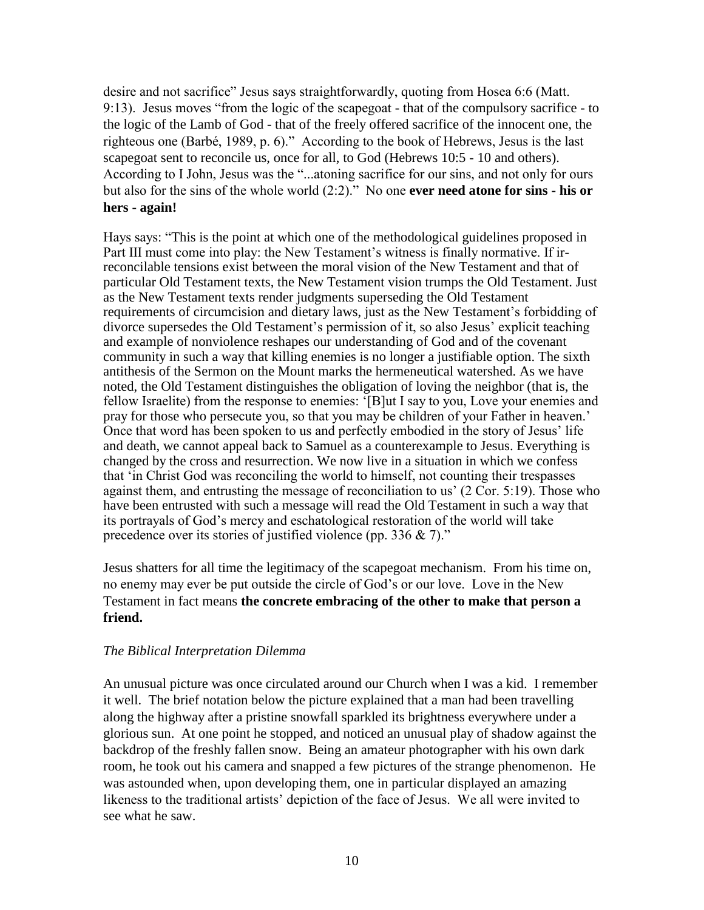desire and not sacrifice" Jesus says straightforwardly, quoting from Hosea 6:6 (Matt. 9:13). Jesus moves "from the logic of the scapegoat - that of the compulsory sacrifice - to the logic of the Lamb of God - that of the freely offered sacrifice of the innocent one, the righteous one (Barbé, 1989, p. 6)." According to the book of Hebrews, Jesus is the last scapegoat sent to reconcile us, once for all, to God (Hebrews 10:5 - 10 and others). According to I John, Jesus was the "...atoning sacrifice for our sins, and not only for ours but also for the sins of the whole world (2:2)." No one **ever need atone for sins - his or hers - again!**

Hays says: "This is the point at which one of the methodological guidelines proposed in Part III must come into play: the New Testament's witness is finally normative. If irreconcilable tensions exist between the moral vision of the New Testament and that of particular Old Testament texts, the New Testament vision trumps the Old Testament. Just as the New Testament texts render judgments superseding the Old Testament requirements of circumcision and dietary laws, just as the New Testament's forbidding of divorce supersedes the Old Testament's permission of it, so also Jesus' explicit teaching and example of nonviolence reshapes our understanding of God and of the covenant community in such a way that killing enemies is no longer a justifiable option. The sixth antithesis of the Sermon on the Mount marks the hermeneutical watershed. As we have noted, the Old Testament distinguishes the obligation of loving the neighbor (that is, the fellow Israelite) from the response to enemies: '[B]ut I say to you, Love your enemies and pray for those who persecute you, so that you may be children of your Father in heaven.' Once that word has been spoken to us and perfectly embodied in the story of Jesus' life and death, we cannot appeal back to Samuel as a counterexample to Jesus. Everything is changed by the cross and resurrection. We now live in a situation in which we confess that 'in Christ God was reconciling the world to himself, not counting their trespasses against them, and entrusting the message of reconciliation to us' (2 Cor. 5:19). Those who have been entrusted with such a message will read the Old Testament in such a way that its portrayals of God's mercy and eschatological restoration of the world will take precedence over its stories of justified violence (pp. 336 & 7)."

Jesus shatters for all time the legitimacy of the scapegoat mechanism. From his time on, no enemy may ever be put outside the circle of God's or our love. Love in the New Testament in fact means **the concrete embracing of the other to make that person a friend.**

### *The Biblical Interpretation Dilemma*

An unusual picture was once circulated around our Church when I was a kid. I remember it well. The brief notation below the picture explained that a man had been travelling along the highway after a pristine snowfall sparkled its brightness everywhere under a glorious sun. At one point he stopped, and noticed an unusual play of shadow against the backdrop of the freshly fallen snow. Being an amateur photographer with his own dark room, he took out his camera and snapped a few pictures of the strange phenomenon. He was astounded when, upon developing them, one in particular displayed an amazing likeness to the traditional artists' depiction of the face of Jesus. We all were invited to see what he saw.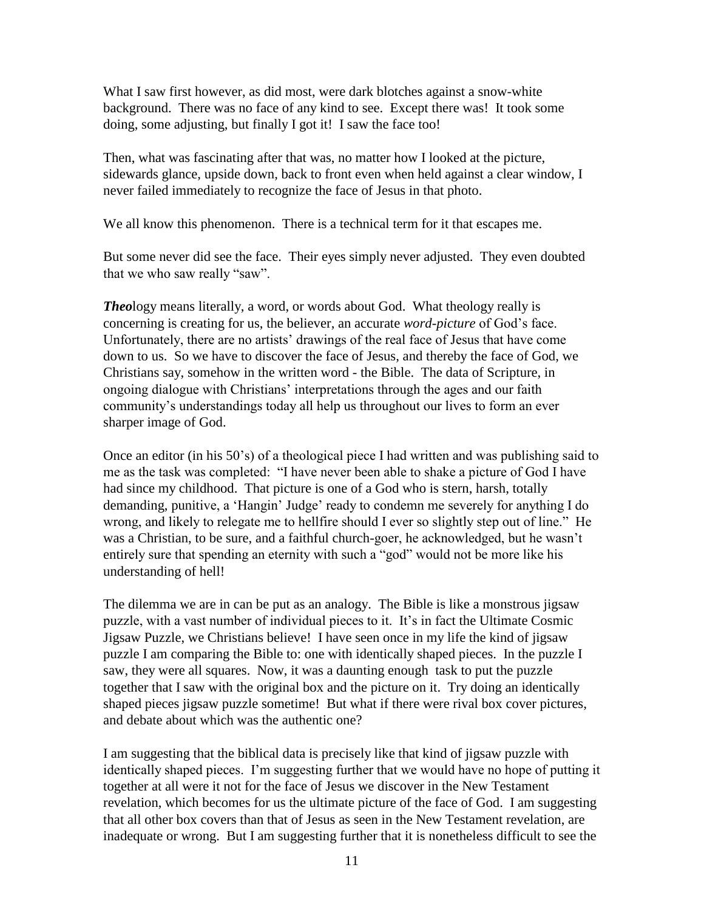What I saw first however, as did most, were dark blotches against a snow-white background. There was no face of any kind to see. Except there was! It took some doing, some adjusting, but finally I got it! I saw the face too!

Then, what was fascinating after that was, no matter how I looked at the picture, sidewards glance, upside down, back to front even when held against a clear window, I never failed immediately to recognize the face of Jesus in that photo.

We all know this phenomenon. There is a technical term for it that escapes me.

But some never did see the face. Their eyes simply never adjusted. They even doubted that we who saw really "saw".

*Theo*logy means literally, a word, or words about God. What theology really is concerning is creating for us, the believer, an accurate *word-picture* of God's face. Unfortunately, there are no artists' drawings of the real face of Jesus that have come down to us. So we have to discover the face of Jesus, and thereby the face of God, we Christians say, somehow in the written word - the Bible. The data of Scripture, in ongoing dialogue with Christians' interpretations through the ages and our faith community's understandings today all help us throughout our lives to form an ever sharper image of God.

Once an editor (in his 50's) of a theological piece I had written and was publishing said to me as the task was completed: "I have never been able to shake a picture of God I have had since my childhood. That picture is one of a God who is stern, harsh, totally demanding, punitive, a 'Hangin' Judge' ready to condemn me severely for anything I do wrong, and likely to relegate me to hellfire should I ever so slightly step out of line." He was a Christian, to be sure, and a faithful church-goer, he acknowledged, but he wasn't entirely sure that spending an eternity with such a "god" would not be more like his understanding of hell!

The dilemma we are in can be put as an analogy. The Bible is like a monstrous jigsaw puzzle, with a vast number of individual pieces to it. It's in fact the Ultimate Cosmic Jigsaw Puzzle, we Christians believe! I have seen once in my life the kind of jigsaw puzzle I am comparing the Bible to: one with identically shaped pieces. In the puzzle I saw, they were all squares. Now, it was a daunting enough task to put the puzzle together that I saw with the original box and the picture on it. Try doing an identically shaped pieces jigsaw puzzle sometime! But what if there were rival box cover pictures, and debate about which was the authentic one?

I am suggesting that the biblical data is precisely like that kind of jigsaw puzzle with identically shaped pieces. I'm suggesting further that we would have no hope of putting it together at all were it not for the face of Jesus we discover in the New Testament revelation, which becomes for us the ultimate picture of the face of God. I am suggesting that all other box covers than that of Jesus as seen in the New Testament revelation, are inadequate or wrong. But I am suggesting further that it is nonetheless difficult to see the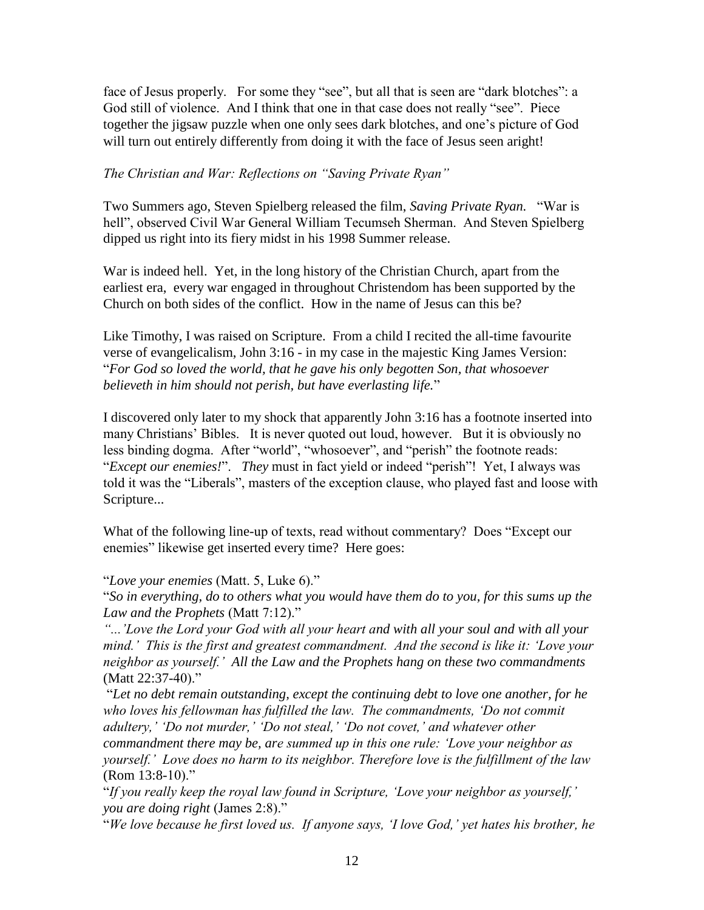face of Jesus properly. For some they "see", but all that is seen are "dark blotches": a God still of violence. And I think that one in that case does not really "see". Piece together the jigsaw puzzle when one only sees dark blotches, and one's picture of God will turn out entirely differently from doing it with the face of Jesus seen aright!

## *The Christian and War: Reflections on "Saving Private Ryan"*

Two Summers ago, Steven Spielberg released the film, *Saving Private Ryan.* "War is hell", observed Civil War General William Tecumseh Sherman. And Steven Spielberg dipped us right into its fiery midst in his 1998 Summer release.

War is indeed hell. Yet, in the long history of the Christian Church, apart from the earliest era, every war engaged in throughout Christendom has been supported by the Church on both sides of the conflict. How in the name of Jesus can this be?

Like Timothy, I was raised on Scripture. From a child I recited the all-time favourite verse of evangelicalism, John 3:16 - in my case in the majestic King James Version: "*For God so loved the world, that he gave his only begotten Son, that whosoever believeth in him should not perish, but have everlasting life.*"

I discovered only later to my shock that apparently John 3:16 has a footnote inserted into many Christians' Bibles. It is never quoted out loud, however. But it is obviously no less binding dogma. After "world", "whosoever", and "perish" the footnote reads: "*Except our enemies!*". *They* must in fact yield or indeed "perish"! Yet, I always was told it was the "Liberals", masters of the exception clause, who played fast and loose with Scripture...

What of the following line-up of texts, read without commentary? Does "Except our enemies" likewise get inserted every time? Here goes:

"*Love your enemies* (Matt. 5, Luke 6)."

"*So in everything, do to others what you would have them do to you, for this sums up the Law and the Prophets* (Matt 7:12)."

*"...'Love the Lord your God with all your heart and with all your soul and with all your mind.' This is the first and greatest commandment. And the second is like it: 'Love your neighbor as yourself.' All the Law and the Prophets hang on these two commandments* (Matt 22:37-40)."

"*Let no debt remain outstanding, except the continuing debt to love one another, for he*  who loves his fellowman has fulfilled the law. The commandments, 'Do not commit *adultery,' 'Do not murder,' 'Do not steal,' 'Do not covet,' and whatever other commandment there may be, are summed up in this one rule: 'Love your neighbor as yourself.' Love does no harm to its neighbor. Therefore love is the fulfillment of the law* (Rom 13:8-10)."

"*If you really keep the royal law found in Scripture, 'Love your neighbor as yourself,' you are doing right* (James 2:8)."

"*We love because he first loved us. If anyone says, 'I love God,' yet hates his brother, he*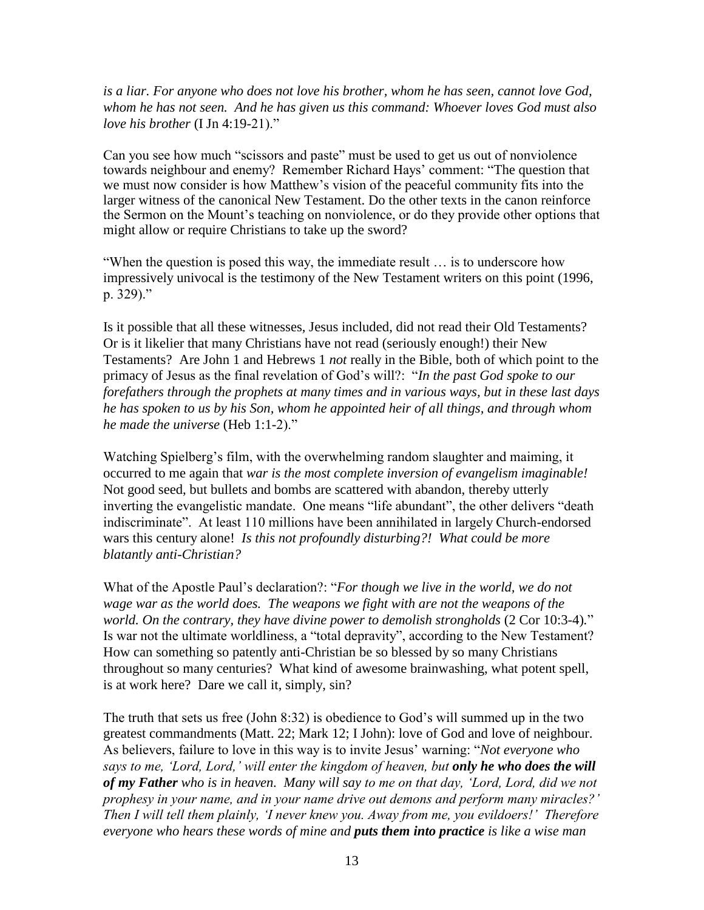*is a liar. For anyone who does not love his brother, whom he has seen, cannot love God, whom he has not seen. And he has given us this command: Whoever loves God must also love his brother* (I Jn 4:19-21)."

Can you see how much "scissors and paste" must be used to get us out of nonviolence towards neighbour and enemy? Remember Richard Hays' comment: "The question that we must now consider is how Matthew's vision of the peaceful community fits into the larger witness of the canonical New Testament. Do the other texts in the canon reinforce the Sermon on the Mount's teaching on nonviolence, or do they provide other options that might allow or require Christians to take up the sword?

"When the question is posed this way, the immediate result … is to underscore how impressively univocal is the testimony of the New Testament writers on this point (1996, p. 329)."

Is it possible that all these witnesses, Jesus included, did not read their Old Testaments? Or is it likelier that many Christians have not read (seriously enough!) their New Testaments? Are John 1 and Hebrews 1 *not* really in the Bible, both of which point to the primacy of Jesus as the final revelation of God's will?: "*In the past God spoke to our forefathers through the prophets at many times and in various ways, but in these last days he has spoken to us by his Son, whom he appointed heir of all things, and through whom he made the universe* (Heb 1:1-2)."

Watching Spielberg's film, with the overwhelming random slaughter and maiming, it occurred to me again that *war is the most complete inversion of evangelism imaginable!* Not good seed, but bullets and bombs are scattered with abandon, thereby utterly inverting the evangelistic mandate. One means "life abundant", the other delivers "death indiscriminate". At least 110 millions have been annihilated in largely Church-endorsed wars this century alone! *Is this not profoundly disturbing?! What could be more blatantly anti-Christian?* 

What of the Apostle Paul's declaration?: "*For though we live in the world, we do not wage war as the world does. The weapons we fight with are not the weapons of the world. On the contrary, they have divine power to demolish strongholds* (2 Cor 10:3-4)*.*" Is war not the ultimate worldliness, a "total depravity", according to the New Testament? How can something so patently anti-Christian be so blessed by so many Christians throughout so many centuries? What kind of awesome brainwashing, what potent spell, is at work here? Dare we call it, simply, sin?

The truth that sets us free (John 8:32) is obedience to God's will summed up in the two greatest commandments (Matt. 22; Mark 12; I John): love of God and love of neighbour. As believers, failure to love in this way is to invite Jesus' warning: "*Not everyone who says to me, 'Lord, Lord,' will enter the kingdom of heaven, but only he who does the will of my Father who is in heaven. Many will say to me on that day, 'Lord, Lord, did we not prophesy in your name, and in your name drive out demons and perform many miracles?' Then I will tell them plainly, 'I never knew you. Away from me, you evildoers!' Therefore everyone who hears these words of mine and puts them into practice is like a wise man*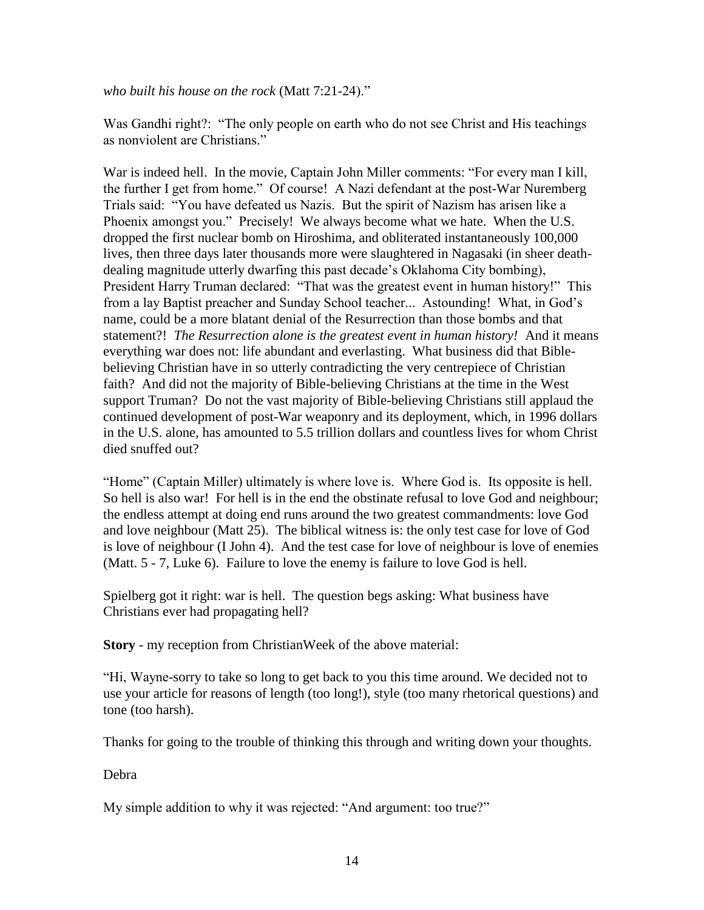*who built his house on the rock* (Matt 7:21-24)."

Was Gandhi right?: "The only people on earth who do not see Christ and His teachings as nonviolent are Christians."

War is indeed hell. In the movie, Captain John Miller comments: "For every man I kill, the further I get from home." Of course! A Nazi defendant at the post-War Nuremberg Trials said: "You have defeated us Nazis. But the spirit of Nazism has arisen like a Phoenix amongst you." Precisely! We always become what we hate. When the U.S. dropped the first nuclear bomb on Hiroshima, and obliterated instantaneously 100,000 lives, then three days later thousands more were slaughtered in Nagasaki (in sheer deathdealing magnitude utterly dwarfing this past decade's Oklahoma City bombing), President Harry Truman declared: "That was the greatest event in human history!" This from a lay Baptist preacher and Sunday School teacher... Astounding! What, in God's name, could be a more blatant denial of the Resurrection than those bombs and that statement?! *The Resurrection alone is the greatest event in human history!* And it means everything war does not: life abundant and everlasting. What business did that Biblebelieving Christian have in so utterly contradicting the very centrepiece of Christian faith? And did not the majority of Bible-believing Christians at the time in the West support Truman? Do not the vast majority of Bible-believing Christians still applaud the continued development of post-War weaponry and its deployment, which, in 1996 dollars in the U.S. alone, has amounted to 5.5 trillion dollars and countless lives for whom Christ died snuffed out?

"Home" (Captain Miller) ultimately is where love is. Where God is. Its opposite is hell. So hell is also war! For hell is in the end the obstinate refusal to love God and neighbour; the endless attempt at doing end runs around the two greatest commandments: love God and love neighbour (Matt 25). The biblical witness is: the only test case for love of God is love of neighbour (I John 4). And the test case for love of neighbour is love of enemies (Matt. 5 - 7, Luke 6). Failure to love the enemy is failure to love God is hell.

Spielberg got it right: war is hell. The question begs asking: What business have Christians ever had propagating hell?

**Story** - my reception from ChristianWeek of the above material:

"Hi, Wayne-sorry to take so long to get back to you this time around. We decided not to use your article for reasons of length (too long!), style (too many rhetorical questions) and tone (too harsh).

Thanks for going to the trouble of thinking this through and writing down your thoughts.

Debra

My simple addition to why it was rejected: "And argument: too true?"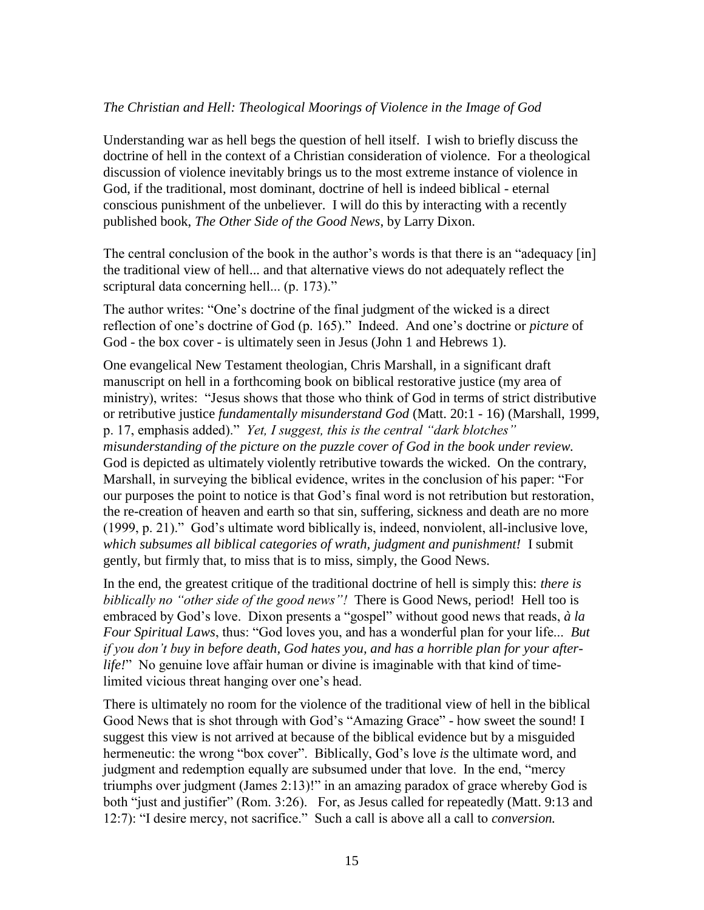## *The Christian and Hell: Theological Moorings of Violence in the Image of God*

Understanding war as hell begs the question of hell itself. I wish to briefly discuss the doctrine of hell in the context of a Christian consideration of violence. For a theological discussion of violence inevitably brings us to the most extreme instance of violence in God, if the traditional, most dominant, doctrine of hell is indeed biblical - eternal conscious punishment of the unbeliever. I will do this by interacting with a recently published book, *The Other Side of the Good News*, by Larry Dixon.

The central conclusion of the book in the author's words is that there is an "adequacy [in] the traditional view of hell... and that alternative views do not adequately reflect the scriptural data concerning hell... (p. 173)."

The author writes: "One's doctrine of the final judgment of the wicked is a direct reflection of one's doctrine of God (p. 165)." Indeed. And one's doctrine or *picture* of God - the box cover - is ultimately seen in Jesus (John 1 and Hebrews 1).

One evangelical New Testament theologian, Chris Marshall, in a significant draft manuscript on hell in a forthcoming book on biblical restorative justice (my area of ministry), writes: "Jesus shows that those who think of God in terms of strict distributive or retributive justice *fundamentally misunderstand God* (Matt. 20:1 - 16) (Marshall, 1999, p. 17, emphasis added)." *Yet, I suggest, this is the central "dark blotches" misunderstanding of the picture on the puzzle cover of God in the book under review.*  God is depicted as ultimately violently retributive towards the wicked. On the contrary, Marshall, in surveying the biblical evidence, writes in the conclusion of his paper: "For our purposes the point to notice is that God's final word is not retribution but restoration, the re-creation of heaven and earth so that sin, suffering, sickness and death are no more (1999, p. 21)." God's ultimate word biblically is, indeed, nonviolent, all-inclusive love, *which subsumes all biblical categories of wrath, judgment and punishment!* I submit gently, but firmly that, to miss that is to miss, simply, the Good News.

In the end, the greatest critique of the traditional doctrine of hell is simply this: *there is biblically no "other side of the good news"!* There is Good News, period! Hell too is embraced by God's love. Dixon presents a "gospel" without good news that reads, *à la Four Spiritual Laws*, thus: "God loves you, and has a wonderful plan for your life... *But if you don't buy in before death, God hates you, and has a horrible plan for your afterlife!*" No genuine love affair human or divine is imaginable with that kind of timelimited vicious threat hanging over one's head.

There is ultimately no room for the violence of the traditional view of hell in the biblical Good News that is shot through with God's "Amazing Grace" - how sweet the sound! I suggest this view is not arrived at because of the biblical evidence but by a misguided hermeneutic: the wrong "box cover". Biblically, God's love *is* the ultimate word, and judgment and redemption equally are subsumed under that love. In the end, "mercy triumphs over judgment (James 2:13)!" in an amazing paradox of grace whereby God is both "just and justifier" (Rom. 3:26). For, as Jesus called for repeatedly (Matt. 9:13 and 12:7): "I desire mercy, not sacrifice." Such a call is above all a call to *conversion.*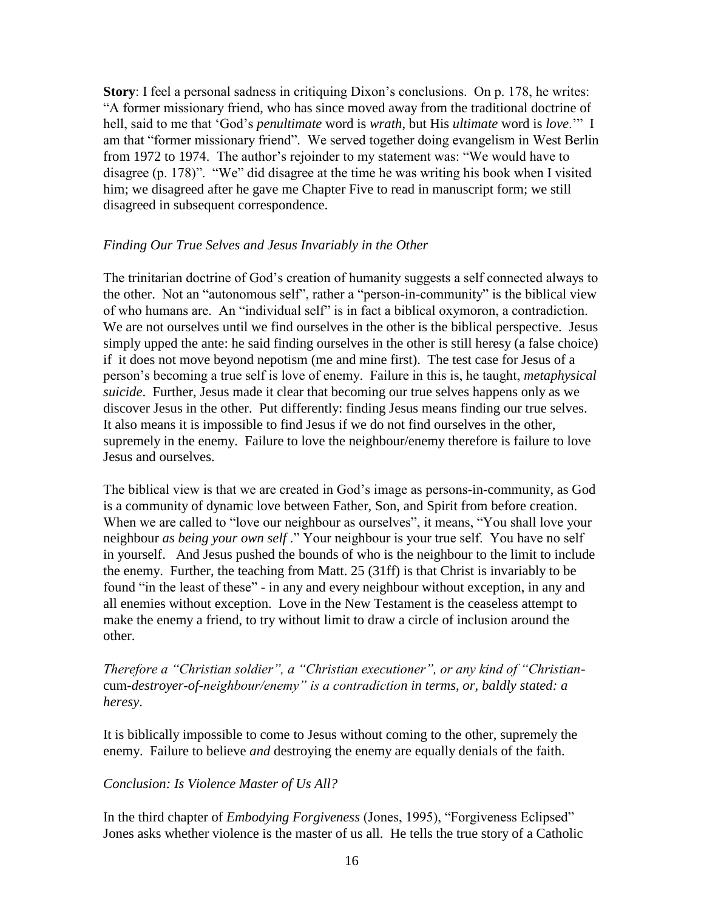**Story**: I feel a personal sadness in critiquing Dixon's conclusions. On p. 178, he writes: "A former missionary friend, who has since moved away from the traditional doctrine of hell, said to me that 'God's *penultimate* word is *wrath*, but His *ultimate* word is *love*.'" I am that "former missionary friend". We served together doing evangelism in West Berlin from 1972 to 1974. The author's rejoinder to my statement was: "We would have to disagree (p. 178)". "We" did disagree at the time he was writing his book when I visited him; we disagreed after he gave me Chapter Five to read in manuscript form; we still disagreed in subsequent correspondence.

## *Finding Our True Selves and Jesus Invariably in the Other*

The trinitarian doctrine of God's creation of humanity suggests a self connected always to the other.Not an "autonomous self", rather a "person-in-community" is the biblical view of who humans are. An "individual self" is in fact a biblical oxymoron, a contradiction. We are not ourselves until we find ourselves in the other is the biblical perspective. Jesus simply upped the ante: he said finding ourselves in the other is still heresy (a false choice) if it does not move beyond nepotism (me and mine first). The test case for Jesus of a person's becoming a true self is love of enemy. Failure in this is, he taught, *metaphysical suicide*. Further, Jesus made it clear that becoming our true selves happens only as we discover Jesus in the other. Put differently: finding Jesus means finding our true selves. It also means it is impossible to find Jesus if we do not find ourselves in the other, supremely in the enemy. Failure to love the neighbour/enemy therefore is failure to love Jesus and ourselves.

The biblical view is that we are created in God's image as persons-in-community, as God is a community of dynamic love between Father, Son, and Spirit from before creation. When we are called to "love our neighbour as ourselves", it means, "You shall love your neighbour *as being your own self* ." Your neighbour is your true self. You have no self in yourself. And Jesus pushed the bounds of who is the neighbour to the limit to include the enemy. Further, the teaching from Matt. 25 (31ff) is that Christ is invariably to be found "in the least of these" - in any and every neighbour without exception, in any and all enemies without exception. Love in the New Testament is the ceaseless attempt to make the enemy a friend, to try without limit to draw a circle of inclusion around the other.

*Therefore a "Christian soldier", a "Christian executioner", or any kind of "Christian*cum*-destroyer-of-neighbour/enemy" is a contradiction in terms, or, baldly stated: a heresy*.

It is biblically impossible to come to Jesus without coming to the other, supremely the enemy. Failure to believe *and* destroying the enemy are equally denials of the faith.

### *Conclusion: Is Violence Master of Us All?*

In the third chapter of *Embodying Forgiveness* (Jones, 1995), "Forgiveness Eclipsed" Jones asks whether violence is the master of us all. He tells the true story of a Catholic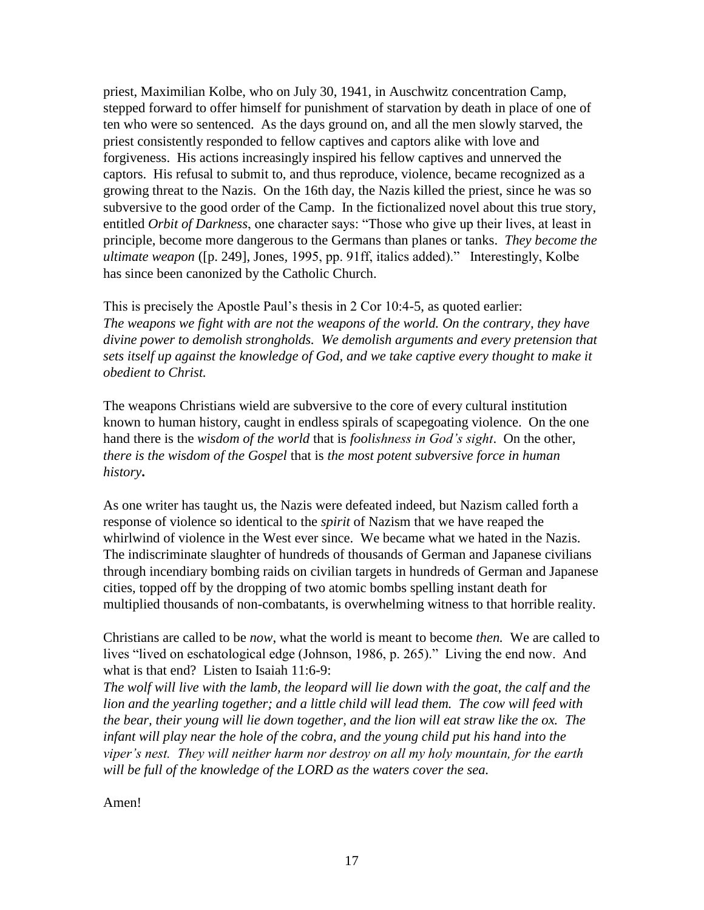priest, Maximilian Kolbe, who on July 30, 1941, in Auschwitz concentration Camp, stepped forward to offer himself for punishment of starvation by death in place of one of ten who were so sentenced. As the days ground on, and all the men slowly starved, the priest consistently responded to fellow captives and captors alike with love and forgiveness. His actions increasingly inspired his fellow captives and unnerved the captors. His refusal to submit to, and thus reproduce, violence, became recognized as a growing threat to the Nazis. On the 16th day, the Nazis killed the priest, since he was so subversive to the good order of the Camp. In the fictionalized novel about this true story, entitled *Orbit of Darkness*, one character says: "Those who give up their lives, at least in principle, become more dangerous to the Germans than planes or tanks. *They become the ultimate weapon* ([p. 249], Jones*,* 1995, pp. 91ff, italics added)." Interestingly, Kolbe has since been canonized by the Catholic Church.

This is precisely the Apostle Paul's thesis in 2 Cor 10:4-5, as quoted earlier: *The weapons we fight with are not the weapons of the world. On the contrary, they have divine power to demolish strongholds. We demolish arguments and every pretension that sets itself up against the knowledge of God, and we take captive every thought to make it obedient to Christ.* 

The weapons Christians wield are subversive to the core of every cultural institution known to human history, caught in endless spirals of scapegoating violence. On the one hand there is the *wisdom of the world* that is *foolishness in God's sight*. On the other, *there is the wisdom of the Gospel* that is *the most potent subversive force in human history***.**

As one writer has taught us, the Nazis were defeated indeed, but Nazism called forth a response of violence so identical to the *spirit* of Nazism that we have reaped the whirlwind of violence in the West ever since. We became what we hated in the Nazis. The indiscriminate slaughter of hundreds of thousands of German and Japanese civilians through incendiary bombing raids on civilian targets in hundreds of German and Japanese cities, topped off by the dropping of two atomic bombs spelling instant death for multiplied thousands of non-combatants, is overwhelming witness to that horrible reality.

Christians are called to be *now*, what the world is meant to become *then.* We are called to lives "lived on eschatological edge (Johnson, 1986, p. 265)." Living the end now. And what is that end? Listen to Isaiah 11:6-9:

*The wolf will live with the lamb, the leopard will lie down with the goat, the calf and the lion and the yearling together; and a little child will lead them. The cow will feed with the bear, their young will lie down together, and the lion will eat straw like the ox. The infant will play near the hole of the cobra, and the young child put his hand into the viper's nest. They will neither harm nor destroy on all my holy mountain, for the earth will be full of the knowledge of the LORD as the waters cover the sea.*

Amen!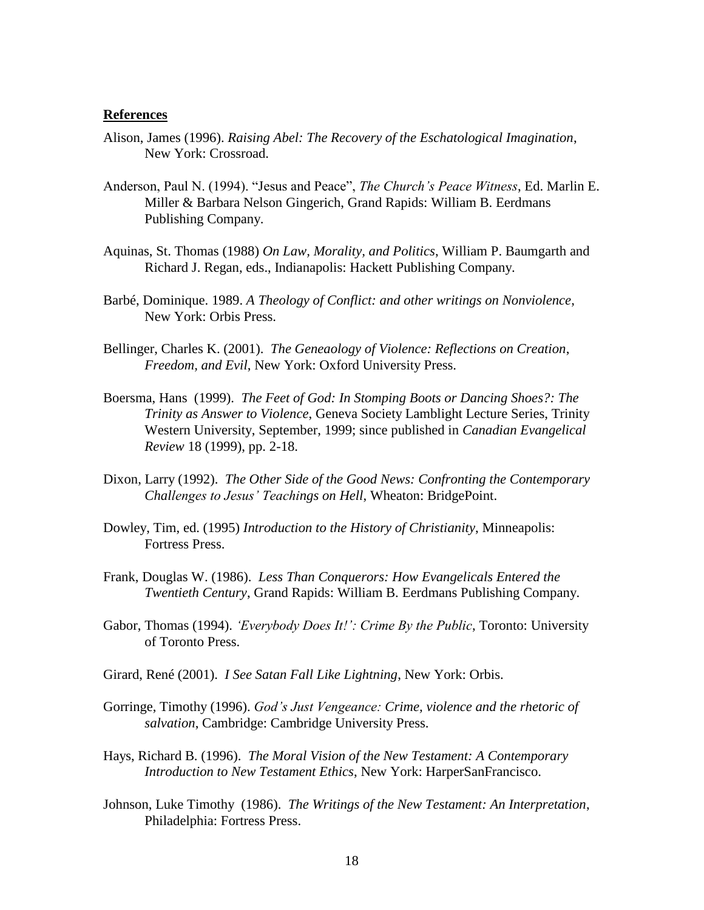#### **References**

- Alison, James (1996). *Raising Abel: The Recovery of the Eschatological Imagination*, New York: Crossroad.
- Anderson, Paul N. (1994). "Jesus and Peace", *The Church's Peace Witness*, Ed. Marlin E. Miller & Barbara Nelson Gingerich, Grand Rapids: William B. Eerdmans Publishing Company.
- Aquinas, St. Thomas (1988) *On Law, Morality, and Politics*, William P. Baumgarth and Richard J. Regan, eds., Indianapolis: Hackett Publishing Company.
- Barbé, Dominique. 1989. *A Theology of Conflict: and other writings on Nonviolence*, New York: Orbis Press.
- Bellinger, Charles K. (2001). *The Geneaology of Violence: Reflections on Creation*, *Freedom, and Evil*, New York: Oxford University Press.
- Boersma, Hans (1999). *The Feet of God: In Stomping Boots or Dancing Shoes?: The Trinity as Answer to Violence*, Geneva Society Lamblight Lecture Series, Trinity Western University, September, 1999; since published in *Canadian Evangelical Review* 18 (1999), pp. 2-18.
- Dixon, Larry (1992). *The Other Side of the Good News: Confronting the Contemporary Challenges to Jesus' Teachings on Hell*, Wheaton: BridgePoint.
- Dowley, Tim, ed. (1995) *Introduction to the History of Christianity*, Minneapolis: Fortress Press.
- Frank, Douglas W. (1986). *Less Than Conquerors: How Evangelicals Entered the Twentieth Century*, Grand Rapids: William B. Eerdmans Publishing Company.
- Gabor, Thomas (1994). *'Everybody Does It!': Crime By the Public*, Toronto: University of Toronto Press.
- Girard, René (2001). *I See Satan Fall Like Lightning*, New York: Orbis.
- Gorringe, Timothy (1996). *God's Just Vengeance: Crime, violence and the rhetoric of salvation*, Cambridge: Cambridge University Press.
- Hays, Richard B. (1996). *The Moral Vision of the New Testament: A Contemporary Introduction to New Testament Ethics*, New York: HarperSanFrancisco.
- Johnson, Luke Timothy (1986). *The Writings of the New Testament: An Interpretation*, Philadelphia: Fortress Press.